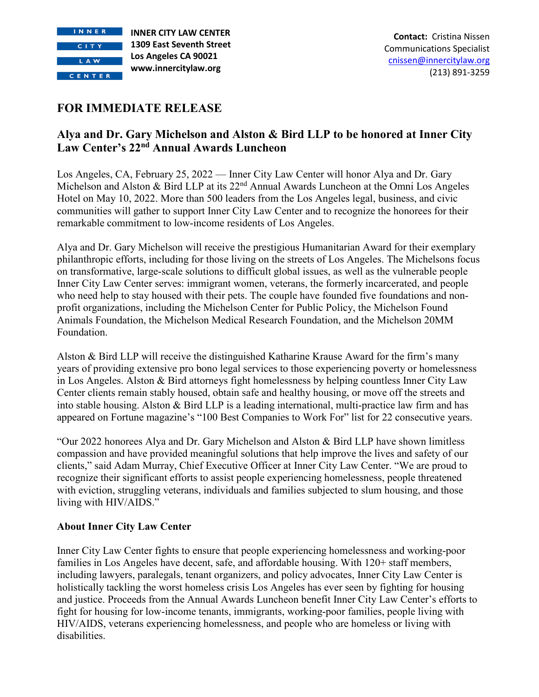

## **FOR IMMEDIATE RELEASE**

## **Alya and Dr. Gary Michelson and Alston & Bird LLP to be honored at Inner City Law Center's 22nd Annual Awards Luncheon**

Los Angeles, CA, February 25, 2022 — Inner City Law Center will honor Alya and Dr. Gary Michelson and Alston & Bird LLP at its  $22<sup>nd</sup>$  Annual Awards Luncheon at the Omni Los Angeles Hotel on May 10, 2022. More than 500 leaders from the Los Angeles legal, business, and civic communities will gather to support Inner City Law Center and to recognize the honorees for their remarkable commitment to low-income residents of Los Angeles.

Alya and Dr. Gary Michelson will receive the prestigious Humanitarian Award for their exemplary philanthropic efforts, including for those living on the streets of Los Angeles. The Michelsons focus on transformative, large-scale solutions to difficult global issues, as well as the vulnerable people Inner City Law Center serves: immigrant women, veterans, the formerly incarcerated, and people who need help to stay housed with their pets. The couple have founded five foundations and nonprofit organizations, including the Michelson Center for Public Policy, the Michelson Found Animals Foundation, the Michelson Medical Research Foundation, and the Michelson 20MM Foundation.

Alston & Bird LLP will receive the distinguished Katharine Krause Award for the firm's many years of providing extensive pro bono legal services to those experiencing poverty or homelessness in Los Angeles. Alston & Bird attorneys fight homelessness by helping countless Inner City Law Center clients remain stably housed, obtain safe and healthy housing, or move off the streets and into stable housing. Alston & Bird LLP is a leading international, multi-practice law firm and has appeared on Fortune magazine's "100 Best Companies to Work For" list for 22 consecutive years.

"Our 2022 honorees Alya and Dr. Gary Michelson and Alston & Bird LLP have shown limitless compassion and have provided meaningful solutions that help improve the lives and safety of our clients," said Adam Murray, Chief Executive Officer at Inner City Law Center. "We are proud to recognize their significant efforts to assist people experiencing homelessness, people threatened with eviction, struggling veterans, individuals and families subjected to slum housing, and those living with HIV/AIDS."

## **About Inner City Law Center**

Inner City Law Center fights to ensure that people experiencing homelessness and working-poor families in Los Angeles have decent, safe, and affordable housing. With 120+ staff members, including lawyers, paralegals, tenant organizers, and policy advocates, Inner City Law Center is holistically tackling the worst homeless crisis Los Angeles has ever seen by fighting for housing and justice. Proceeds from the Annual Awards Luncheon benefit Inner City Law Center's efforts to fight for housing for low-income tenants, immigrants, working-poor families, people living with HIV/AIDS, veterans experiencing homelessness, and people who are homeless or living with disabilities.